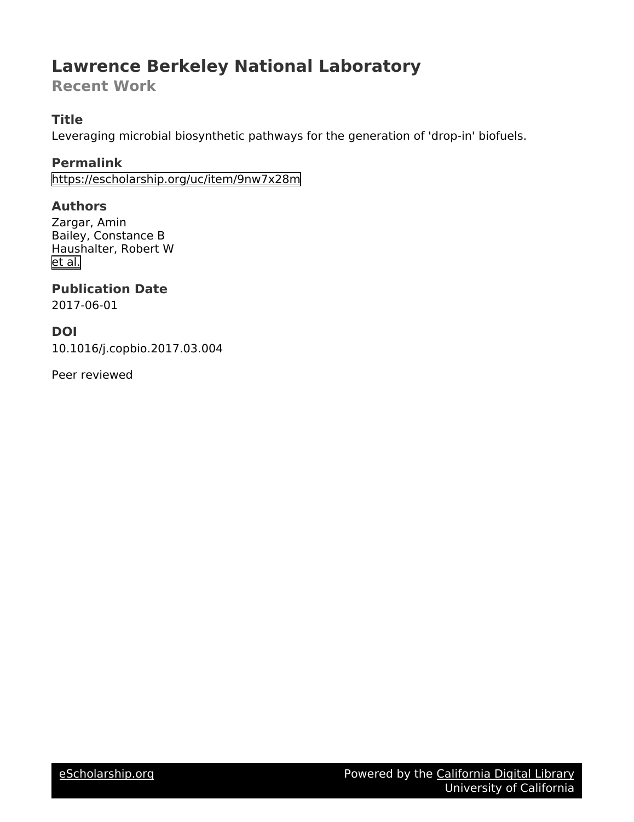# **Lawrence Berkeley National Laboratory**

**Recent Work**

# **Title**

Leveraging microbial biosynthetic pathways for the generation of 'drop-in' biofuels.

# **Permalink**

<https://escholarship.org/uc/item/9nw7x28m>

# **Authors**

Zargar, Amin Bailey, Constance B Haushalter, Robert W [et al.](https://escholarship.org/uc/item/9nw7x28m#author)

# **Publication Date**

2017-06-01

# **DOI**

10.1016/j.copbio.2017.03.004

Peer reviewed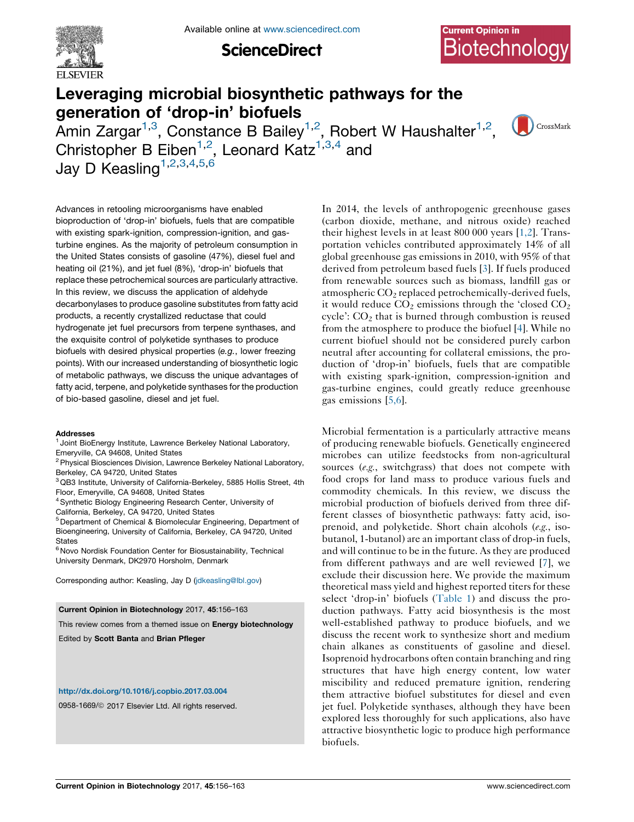

Available online at [www.sciencedirect.com](http://www.sciencedirect.com/science/journal/09581669)

**ScienceDirect** 

CrossMark

# Leveraging microbial biosynthetic pathways for the generation of 'drop-in' biofuels

Amin Zargar<sup>1,3</sup>, Constance B Bailey<sup>1,2</sup>, Robert W Haushalter<sup>1,2</sup>, Christopher B Eiben<sup>1,2</sup>, Leonard Katz<sup>1,3,4</sup> and Jay D Keasling<sup> $1,2,3,4,5,6$ </sup>

Advances in retooling microorganisms have enabled bioproduction of 'drop-in' biofuels, fuels that are compatible with existing spark-ignition, compression-ignition, and gasturbine engines. As the majority of petroleum consumption in the United States consists of gasoline (47%), diesel fuel and heating oil (21%), and jet fuel (8%), 'drop-in' biofuels that replace these petrochemical sources are particularly attractive. In this review, we discuss the application of aldehyde decarbonylases to produce gasoline substitutes from fatty acid products, a recently crystallized reductase that could hydrogenate jet fuel precursors from terpene synthases, and the exquisite control of polyketide synthases to produce biofuels with desired physical properties (e.g., lower freezing points). With our increased understanding of biosynthetic logic of metabolic pathways, we discuss the unique advantages of fatty acid, terpene, and polyketide synthases for the production of bio-based gasoline, diesel and jet fuel.

#### Addresses

<sup>1</sup> Joint BioEnergy Institute, Lawrence Berkeley National Laboratory, Emeryville, CA 94608, United States

- <sup>2</sup> Physical Biosciences Division, Lawrence Berkeley National Laboratory, Berkeley, CA 94720, United States
- <sup>3</sup> QB3 Institute, University of California-Berkeley, 5885 Hollis Street, 4th Floor, Emeryville, CA 94608, United States
- <sup>4</sup> Synthetic Biology Engineering Research Center, University of
- California, Berkeley, CA 94720, United States

<sup>5</sup> Department of Chemical & Biomolecular Engineering, Department of Bioengineering, University of California, Berkeley, CA 94720, United **States** 

<sup>6</sup> Novo Nordisk Foundation Center for Biosustainability, Technical University Denmark, DK2970 Horsholm, Denmark

Corresponding author: Keasling, Jay D [\(jdkeasling@lbl.gov\)](mailto:jdkeasling@lbl.gov)

#### Current Opinion in Biotechnology 2017, 45:156–163

This review comes from a themed issue on Energy biotechnology

Edited by Scott Banta and Brian Pfleger

#### <http://dx.doi.org/10.1016/j.copbio.2017.03.004>

0958-1669/@ 2017 Elsevier Ltd. All rights reserved.

In 2014, the levels of anthropogenic greenhouse gases (carbon dioxide, methane, and nitrous oxide) reached their highest levels in at least 800 000 years [[1,2](#page-7-0)]. Transportation vehicles contributed approximately 14% of all global greenhouse gas emissions in 2010, with 95% of that derived from petroleum based fuels [\[3](#page-7-0)]. If fuels produced from renewable sources such as biomass, landfill gas or atmospheric  $CO<sub>2</sub>$  replaced petrochemically-derived fuels, it would reduce  $CO<sub>2</sub>$  emissions through the 'closed  $CO<sub>2</sub>$ cycle': CO2 that is burned through combustion is reused from the atmosphere to produce the biofuel [[4\]](#page-7-0). While no current biofuel should not be considered purely carbon neutral after accounting for collateral emissions, the production of 'drop-in' biofuels, fuels that are compatible with existing spark-ignition, compression-ignition and gas-turbine engines, could greatly reduce greenhouse gas emissions [\[5,6\]](#page-7-0).

Microbial fermentation is a particularly attractive means of producing renewable biofuels. Genetically engineered microbes can utilize feedstocks from non-agricultural sources (e.g., switchgrass) that does not compete with food crops for land mass to produce various fuels and commodity chemicals. In this review, we discuss the microbial production of biofuels derived from three different classes of biosynthetic pathways: fatty acid, isoprenoid, and polyketide. Short chain alcohols (e.g., isobutanol, 1-butanol) are an important class of drop-in fuels, and will continue to be in the future. As they are produced from different pathways and are well reviewed [\[7](#page-7-0)], we exclude their discussion here. We provide the maximum theoretical mass yield and highest reported titers for these select 'drop-in' biofuels [\(Table](#page-2-0) 1) and discuss the production pathways. Fatty acid biosynthesis is the most well-established pathway to produce biofuels, and we discuss the recent work to synthesize short and medium chain alkanes as constituents of gasoline and diesel. Isoprenoid hydrocarbons often contain branching and ring structures that have high energy content, low water miscibility and reduced premature ignition, rendering them attractive biofuel substitutes for diesel and even jet fuel. Polyketide synthases, although they have been explored less thoroughly for such applications, also have attractive biosynthetic logic to produce high performance biofuels.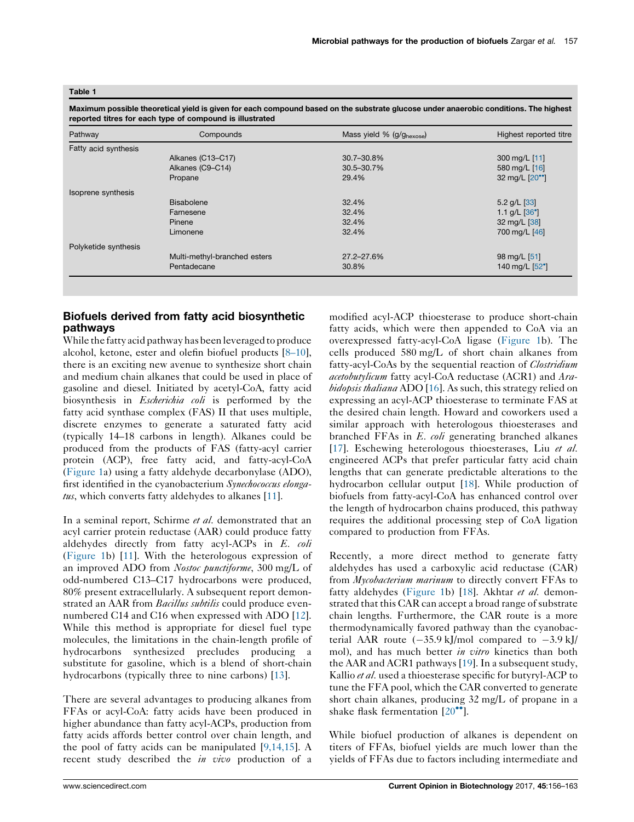#### <span id="page-2-0"></span>Table 1

Maximum possible theoretical yield is given for each compound based on the substrate glucose under anaerobic conditions. The highest reported titres for each type of compound is illustrated

| Pathway              | Compounds                    | Mass yield % (g/ghexose) | Highest reported titre |
|----------------------|------------------------------|--------------------------|------------------------|
| Fatty acid synthesis |                              |                          |                        |
|                      | Alkanes (C13-C17)            | 30.7-30.8%               | 300 mg/L [11]          |
|                      | Alkanes (C9-C14)             | 30.5-30.7%               | 580 mg/L [16]          |
|                      | Propane                      | 29.4%                    | 32 mg/L [20**]         |
| Isoprene synthesis   |                              |                          |                        |
|                      | Bisabolene                   | 32.4%                    | 5.2 $g/L$ [33]         |
|                      | Farnesene                    | 32.4%                    | 1.1 g/L $[36^{\circ}]$ |
|                      | Pinene                       | 32.4%                    | 32 mg/L [38]           |
|                      | Limonene                     | 32.4%                    | 700 mg/L [46]          |
| Polyketide synthesis |                              |                          |                        |
|                      | Multi-methyl-branched esters | 27.2-27.6%               | 98 mg/L [51]           |
|                      | Pentadecane                  | 30.8%                    | 140 mg/L [52°]         |

## Biofuels derived from fatty acid biosynthetic pathways

While the fatty acid pathway has been leveraged to produce alcohol, ketone, ester and olefin biofuel products [[8–10](#page-7-0)], there is an exciting new avenue to synthesize short chain and medium chain alkanes that could be used in place of gasoline and diesel. Initiated by acetyl-CoA, fatty acid biosynthesis in Escherichia coli is performed by the fatty acid synthase complex (FAS) II that uses multiple, discrete enzymes to generate a saturated fatty acid (typically 14–18 carbons in length). Alkanes could be produced from the products of FAS (fatty-acyl carrier protein (ACP), free fatty acid, and fatty-acyl-CoA [\(Figure](#page-3-0) 1a) using a fatty aldehyde decarbonylase (ADO), first identified in the cyanobacterium Synechococcus elonga $tus$ , which converts fatty aldehydes to alkanes [[11\]](#page-7-0).

In a seminal report, Schirme et al. demonstrated that an acyl carrier protein reductase (AAR) could produce fatty aldehydes directly from fatty acyl-ACPs in E. coli [\(Figure](#page-3-0) 1b) [\[11](#page-7-0)]. With the heterologous expression of an improved ADO from Nostoc punctiforme, 300 mg/L of odd-numbered C13–C17 hydrocarbons were produced, 80% present extracellularly. A subsequent report demonstrated an AAR from *Bacillus subtilis* could produce evennumbered C14 and C16 when expressed with ADO [\[12](#page-7-0)]. While this method is appropriate for diesel fuel type molecules, the limitations in the chain-length profile of hydrocarbons synthesized precludes producing a substitute for gasoline, which is a blend of short-chain hydrocarbons (typically three to nine carbons) [[13\]](#page-7-0).

There are several advantages to producing alkanes from FFAs or acyl-CoA: fatty acids have been produced in higher abundance than fatty acyl-ACPs, production from fatty acids affords better control over chain length, and the pool of fatty acids can be manipulated [[9,14,15\]](#page-7-0). A recent study described the *in vivo* production of a

modified acyl-ACP thioesterase to produce short-chain fatty acids, which were then appended to CoA via an overexpressed fatty-acyl-CoA ligase [\(Figure](#page-3-0) 1b). The cells produced 580 mg/L of short chain alkanes from fatty-acyl-CoAs by the sequential reaction of *Clostridium* acetobutylicum fatty acyl-CoA reductase (ACR1) and Arabidopsis thaliana ADO [\[16](#page-7-0)]. As such, this strategy relied on expressing an acyl-ACP thioesterase to terminate FAS at the desired chain length. Howard and coworkers used a similar approach with heterologous thioesterases and branched FFAs in E. coli generating branched alkanes [[17](#page-7-0)]. Eschewing heterologous thioesterases, Liu et al. engineered ACPs that prefer particular fatty acid chain lengths that can generate predictable alterations to the hydrocarbon cellular output [\[18](#page-7-0)]. While production of biofuels from fatty-acyl-CoA has enhanced control over the length of hydrocarbon chains produced, this pathway requires the additional processing step of CoA ligation compared to production from FFAs.

Recently, a more direct method to generate fatty aldehydes has used a carboxylic acid reductase (CAR) from *Mycobacterium marinum* to directly convert FFAs to fatty aldehydes ([Figure](#page-3-0) 1b) [[18\]](#page-7-0). Akhtar et al. demonstrated that this CAR can accept a broad range of substrate chain lengths. Furthermore, the CAR route is a more thermodynamically favored pathway than the cyanobacterial AAR route  $(-35.9 \text{ kJ/mol}$  compared to  $-3.9 \text{ kJ/m}$ mol), and has much better in vitro kinetics than both the AAR and ACR1 pathways [[19\]](#page-7-0). In a subsequent study, Kallio et al. used a thioesterase specific for butyryl-ACP to tune the FFA pool, which the CAR converted to generate short chain alkanes, producing 32 mg/L of propane in a shake flask fermentation  $[20\text{°}$  $[20\text{°}$ <sup>\*</sup>].

While biofuel production of alkanes is dependent on titers of FFAs, biofuel yields are much lower than the yields of FFAs due to factors including intermediate and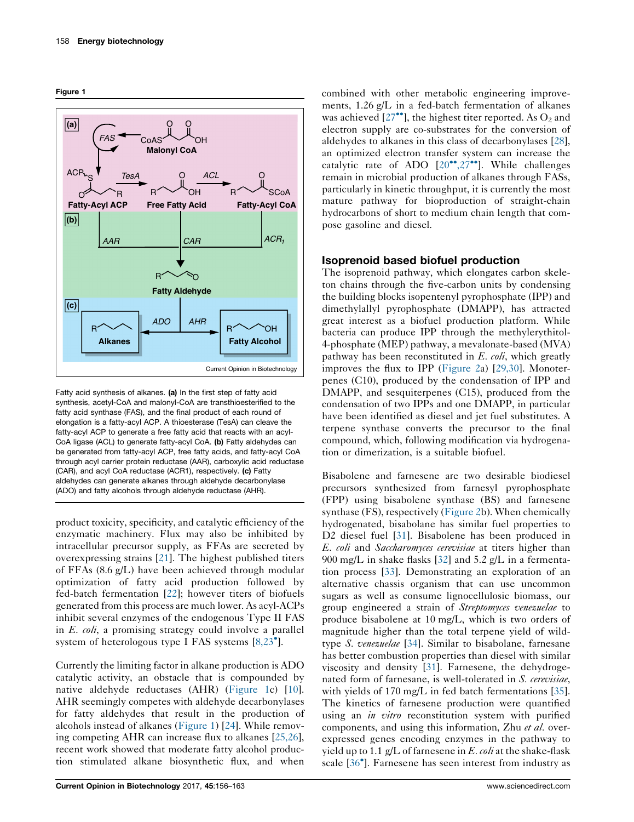<span id="page-3-0"></span>



Fatty acid synthesis of alkanes. (a) In the first step of fatty acid synthesis, acetyl-CoA and malonyl-CoA are transthioesterified to the fatty acid synthase (FAS), and the final product of each round of elongation is a fatty-acyl ACP. A thioesterase (TesA) can cleave the fatty-acyl ACP to generate a free fatty acid that reacts with an acyl-CoA ligase (ACL) to generate fatty-acyl CoA. (b) Fatty aldehydes can be generated from fatty-acyl ACP, free fatty acids, and fatty-acyl CoA through acyl carrier protein reductase (AAR), carboxylic acid reductase (CAR), and acyl CoA reductase (ACR1), respectively. (c) Fatty aldehydes can generate alkanes through aldehyde decarbonylase (ADO) and fatty alcohols through aldehyde reductase (AHR).

product toxicity, specificity, and catalytic efficiency of the enzymatic machinery. Flux may also be inhibited by intracellular precursor supply, as FFAs are secreted by overexpressing strains [\[21](#page-7-0)]. The highest published titers of FFAs (8.6 g/L) have been achieved through modular optimization of fatty acid production followed by fed-batch fermentation [\[22](#page-7-0)]; however titers of biofuels generated from this process are much lower. As acyl-ACPs inhibit several enzymes of the endogenous Type II FAS in  $E$ .  $\omega h$ , a promising strategy could involve a parallel system of heterologous type I FAS systems [[8,23](#page-7-0)<sup>°</sup>].

Currently the limiting factor in alkane production is ADO catalytic activity, an obstacle that is compounded by native aldehyde reductases (AHR) (Figure 1c) [\[10](#page-7-0)]. AHR seemingly competes with aldehyde decarbonylases for fatty aldehydes that result in the production of alcohols instead of alkanes (Figure 1) [\[24](#page-7-0)]. While removing competing AHR can increase flux to alkanes [[25,26](#page-7-0)], recent work showed that moderate fatty alcohol production stimulated alkane biosynthetic flux, and when

combined with other metabolic engineering improvements, 1.26 g/L in a fed-batch fermentation of alkanes was achieved  $[27^{\bullet\bullet}]$ , the highest titer [reported.](#page-7-0) As  $O_2$  and electron supply are co-substrates for the conversion of aldehydes to alkanes in this class of decarbonylases [[28](#page-7-0)], an optimized electron transfer system can increase the catalytic rate of ADO  $[20^{\bullet\bullet}, 27^{\bullet\bullet}]$ . While [challenges](#page-7-0) remain in microbial production of alkanes through FASs, particularly in kinetic throughput, it is currently the most mature pathway for bioproduction of straight-chain hydrocarbons of short to medium chain length that compose gasoline and diesel.

## Isoprenoid based biofuel production

The isoprenoid pathway, which elongates carbon skeleton chains through the five-carbon units by condensing the building blocks isopentenyl pyrophosphate (IPP) and dimethylallyl pyrophosphate (DMAPP), has attracted great interest as a biofuel production platform. While bacteria can produce IPP through the methylerythitol-4-phosphate (MEP) pathway, a mevalonate-based (MVA) pathway has been reconstituted in E. coli, which greatly improves the flux to IPP ([Figure](#page-4-0) 2a) [\[29,30\]](#page-7-0). Monoterpenes (C10), produced by the condensation of IPP and DMAPP, and sesquiterpenes (C15), produced from the condensation of two IPPs and one DMAPP, in particular have been identified as diesel and jet fuel substitutes. A terpene synthase converts the precursor to the final compound, which, following modification via hydrogenation or dimerization, is a suitable biofuel.

Bisabolene and farnesene are two desirable biodiesel precursors synthesized from farnesyl pyrophosphate (FPP) using bisabolene synthase (BS) and farnesene synthase (FS), respectively [\(Figure](#page-4-0) 2b). When chemically hydrogenated, bisabolane has similar fuel properties to D2 diesel fuel [\[31](#page-7-0)]. Bisabolene has been produced in E. coli and Saccharomyces cerevisiae at titers higher than 900 mg/L in shake flasks [\[32](#page-7-0)] and 5.2 g/L in a fermentation process [[33\]](#page-7-0). Demonstrating an exploration of an alternative chassis organism that can use uncommon sugars as well as consume lignocellulosic biomass, our group engineered a strain of Streptomyces venezuelae to produce bisabolene at 10 mg/L, which is two orders of magnitude higher than the total terpene yield of wildtype S. venezuelae [[34\]](#page-7-0). Similar to bisabolane, farnesane has better combustion properties than diesel with similar viscosity and density [[31\]](#page-7-0). Farnesene, the dehydrogenated form of farnesane, is well-tolerated in S. cerevisiae, with yields of 170 mg/L in fed batch fermentations [[35](#page-8-0)]. The kinetics of farnesene production were quantified using an *in vitro* reconstitution system with purified components, and using this information, Zhu et al. overexpressed genes encoding enzymes in the pathway to yield up to 1.1  $g/L$  of farnesene in E. *coli* at the shake-flask scale [36 ]. [Farnesene](#page-8-0) has seen interest from industry as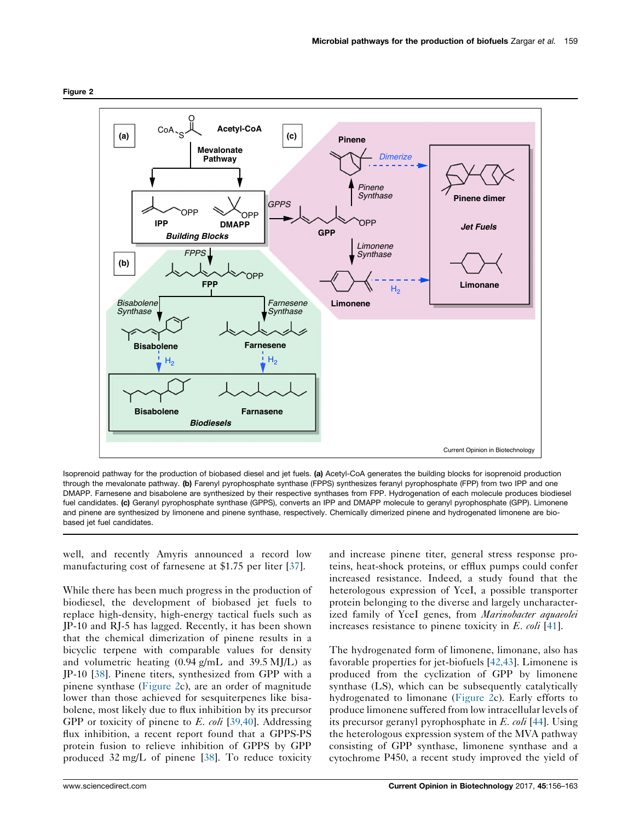<span id="page-4-0"></span>



Isoprenoid pathway for the production of biobased diesel and jet fuels. (a) Acetyl-CoA generates the building blocks for isoprenoid production through the mevalonate pathway. (b) Farenyl pyrophosphate synthase (FPPS) synthesizes feranyl pyrophosphate (FPP) from two IPP and one DMAPP. Farnesene and bisabolene are synthesized by their respective synthases from FPP. Hydrogenation of each molecule produces biodiesel fuel candidates. (c) Geranyl pyrophosphate synthase (GPPS), converts an IPP and DMAPP molecule to geranyl pyrophosphate (GPP). Limonene and pinene are synthesized by limonene and pinene synthase, respectively. Chemically dimerized pinene and hydrogenated limonene are biobased jet fuel candidates.

well, and recently Amyris announced a record low manufacturing cost of farnesene at \$1.75 per liter [[37\]](#page-8-0).

While there has been much progress in the production of biodiesel, the development of biobased jet fuels to replace high-density, high-energy tactical fuels such as JP-10 and RJ-5 has lagged. Recently, it has been shown that the chemical dimerization of pinene results in a bicyclic terpene with comparable values for density and volumetric heating  $(0.94 \text{ g/mL}$  and  $39.5 \text{ MJ/L}$  as JP-10 [\[38](#page-8-0)]. Pinene titers, synthesized from GPP with a pinene synthase (Figure 2c), are an order of magnitude lower than those achieved for sesquiterpenes like bisabolene, most likely due to flux inhibition by its precursor GPP or toxicity of pinene to  $E.$  coli [\[39,40\]](#page-8-0). Addressing flux inhibition, a recent report found that a GPPS-PS protein fusion to relieve inhibition of GPPS by GPP produced 32 mg/L of pinene [\[38](#page-8-0)]. To reduce toxicity and increase pinene titer, general stress response proteins, heat-shock proteins, or efflux pumps could confer increased resistance. Indeed, a study found that the heterologous expression of YceI, a possible transporter protein belonging to the diverse and largely uncharacterized family of YceI genes, from Marinobacter aquaeolei increases resistance to pinene toxicity in E. coli [[41\]](#page-8-0).

The hydrogenated form of limonene, limonane, also has favorable properties for jet-biofuels [[42,43](#page-8-0)]. Limonene is produced from the cyclization of GPP by limonene synthase (LS), which can be subsequently catalytically hydrogenated to limonane (Figure 2c). Early efforts to produce limonene suffered from low intracellular levels of its precursor geranyl pyrophosphate in E. coli [[44\]](#page-8-0). Using the heterologous expression system of the MVA pathway consisting of GPP synthase, limonene synthase and a cytochrome P450, a recent study improved the yield of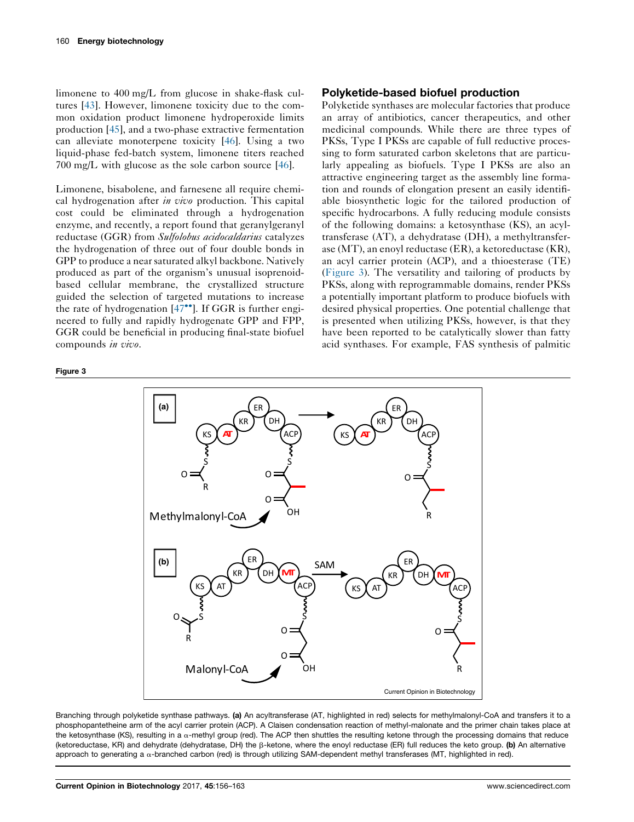<span id="page-5-0"></span>limonene to 400 mg/L from glucose in shake-flask cultures [[43\]](#page-8-0). However, limonene toxicity due to the common oxidation product limonene hydroperoxide limits production [[45\]](#page-8-0), and a two-phase extractive fermentation can alleviate monoterpene toxicity [\[46](#page-8-0)]. Using a two liquid-phase fed-batch system, limonene titers reached 700 mg/L with glucose as the sole carbon source [\[46](#page-8-0)].

Limonene, bisabolene, and farnesene all require chemical hydrogenation after *in vivo* production. This capital cost could be eliminated through a hydrogenation enzyme, and recently, a report found that geranylgeranyl reductase (GGR) from Sulfolobus acidocaldarius catalyzes the hydrogenation of three out of four double bonds in GPP to produce a near saturated alkyl backbone. Natively produced as part of the organism's unusual isoprenoidbased cellular membrane, the crystallized structure guided the selection of targeted mutations to increase the rate of hydrogenation  $[47\degree]$ . If GGR is [further](#page-8-0) engineered to fully and rapidly hydrogenate GPP and FPP, GGR could be beneficial in producing final-state biofuel compounds in vivo.

#### Figure 3

### Polyketide-based biofuel production

Polyketide synthases are molecular factories that produce an array of antibiotics, cancer therapeutics, and other medicinal compounds. While there are three types of PKSs, Type I PKSs are capable of full reductive processing to form saturated carbon skeletons that are particularly appealing as biofuels. Type I PKSs are also an attractive engineering target as the assembly line formation and rounds of elongation present an easily identifiable biosynthetic logic for the tailored production of specific hydrocarbons. A fully reducing module consists of the following domains: a ketosynthase (KS), an acyltransferase (AT), a dehydratase (DH), a methyltransferase (MT), an enoyl reductase (ER), a ketoreductase (KR), an acyl carrier protein (ACP), and a thioesterase (TE) (Figure 3). The versatility and tailoring of products by PKSs, along with reprogrammable domains, render PKSs a potentially important platform to produce biofuels with desired physical properties. One potential challenge that is presented when utilizing PKSs, however, is that they have been reported to be catalytically slower than fatty acid synthases. For example, FAS synthesis of palmitic



Branching through polyketide synthase pathways. (a) An acyltransferase (AT, highlighted in red) selects for methylmalonyl-CoA and transfers it to a phosphopantetheine arm of the acyl carrier protein (ACP). A Claisen condensation reaction of methyl-malonate and the primer chain takes place at the ketosynthase (KS), resulting in a  $\alpha$ -methyl group (red). The ACP then shuttles the resulting ketone through the processing domains that reduce (ketoreductase, KR) and dehydrate (dehydratase, DH) the β-ketone, where the enoyl reductase (ER) full reduces the keto group. (b) An alternative approach to generating a  $\alpha$ -branched carbon (red) is through utilizing SAM-dependent methyl transferases (MT, highlighted in red).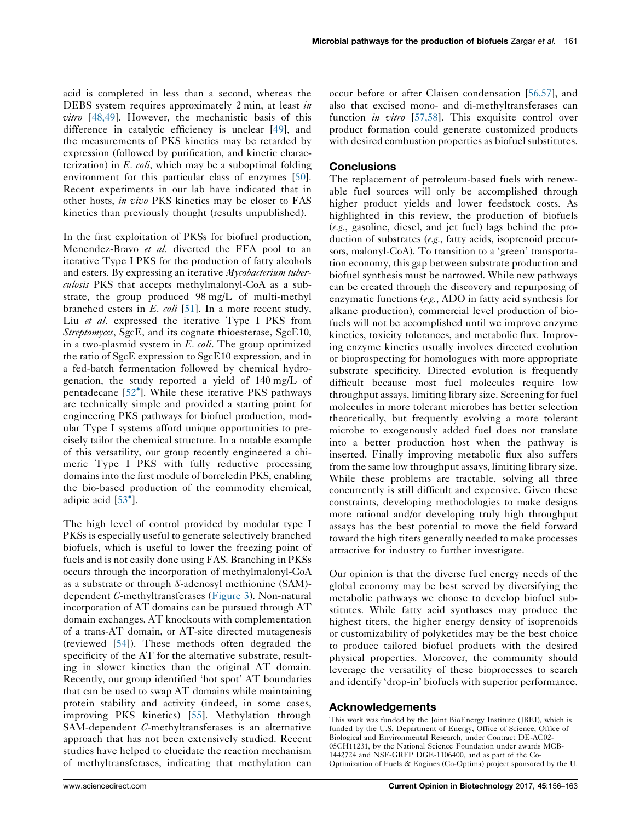acid is completed in less than a second, whereas the DEBS system requires approximately 2 min, at least in vitro [[48,49](#page-8-0)]. However, the mechanistic basis of this difference in catalytic efficiency is unclear [\[49](#page-8-0)], and the measurements of PKS kinetics may be retarded by expression (followed by purification, and kinetic characterization) in  $E.$  coli, which may be a suboptimal folding environment for this particular class of enzymes [\[50](#page-8-0)]. Recent experiments in our lab have indicated that in other hosts, in vivo PKS kinetics may be closer to FAS kinetics than previously thought (results unpublished).

In the first exploitation of PKSs for biofuel production, Menendez-Bravo et al. diverted the FFA pool to an iterative Type I PKS for the production of fatty alcohols and esters. By expressing an iterative Mycobacterium tuberculosis PKS that accepts methylmalonyl-CoA as a substrate, the group produced 98 mg/L of multi-methyl branched esters in  $E.$  coli [\[51](#page-8-0)]. In a more recent study, Liu et al. expressed the iterative Type I PKS from Streptomyces, SgcE, and its cognate thioesterase, SgcE10, in a two-plasmid system in  $E$ .  $\omega h$ . The group optimized the ratio of SgcE expression to SgcE10 expression, and in a fed-batch fermentation followed by chemical hydrogenation, the study reported a yield of 140 mg/L of pentadecane [52 ]. While these iterative PKS [pathways](#page-8-0) are technically simple and provided a starting point for engineering PKS pathways for biofuel production, modular Type I systems afford unique opportunities to precisely tailor the chemical structure. In a notable example of this versatility, our group recently engineered a chimeric Type I PKS with fully reductive processing domains into the first module of borreledin PKS, enabling the bio-based production of the commodity chemical, adipic acid [[53](#page-8-0) ].

The high level of control provided by modular type I PKSs is especially useful to generate selectively branched biofuels, which is useful to lower the freezing point of fuels and is not easily done using FAS. Branching in PKSs occurs through the incorporation of methylmalonyl-CoA as a substrate or through S-adenosyl methionine (SAM) dependent C-methyltransferases ([Figure](#page-5-0) 3). Non-natural incorporation of AT domains can be pursued through AT domain exchanges, AT knockouts with complementation of a trans-AT domain, or AT-site directed mutagenesis (reviewed [\[54\]](#page-8-0)). These methods often degraded the specificity of the AT for the alternative substrate, resulting in slower kinetics than the original AT domain. Recently, our group identified 'hot spot' AT boundaries that can be used to swap AT domains while maintaining protein stability and activity (indeed, in some cases, improving PKS kinetics) [\[55](#page-8-0)]. Methylation through SAM-dependent C-methyltransferases is an alternative approach that has not been extensively studied. Recent studies have helped to elucidate the reaction mechanism of methyltransferases, indicating that methylation can occur before or after Claisen condensation [[56,57](#page-8-0)], and also that excised mono- and di-methyltransferases can function *in vitro* [[57,58](#page-8-0)]. This exquisite control over product formation could generate customized products with desired combustion properties as biofuel substitutes.

### **Conclusions**

The replacement of petroleum-based fuels with renewable fuel sources will only be accomplished through higher product yields and lower feedstock costs. As highlighted in this review, the production of biofuels (e.g., gasoline, diesel, and jet fuel) lags behind the production of substrates (e.g., fatty acids, isoprenoid precursors, malonyl-CoA). To transition to a 'green' transportation economy, this gap between substrate production and biofuel synthesis must be narrowed. While new pathways can be created through the discovery and repurposing of enzymatic functions (e.g., ADO in fatty acid synthesis for alkane production), commercial level production of biofuels will not be accomplished until we improve enzyme kinetics, toxicity tolerances, and metabolic flux. Improving enzyme kinetics usually involves directed evolution or bioprospecting for homologues with more appropriate substrate specificity. Directed evolution is frequently difficult because most fuel molecules require low throughput assays, limiting library size. Screening for fuel molecules in more tolerant microbes has better selection theoretically, but frequently evolving a more tolerant microbe to exogenously added fuel does not translate into a better production host when the pathway is inserted. Finally improving metabolic flux also suffers from the same low throughput assays, limiting library size. While these problems are tractable, solving all three concurrently is still difficult and expensive. Given these constraints, developing methodologies to make designs more rational and/or developing truly high throughput assays has the best potential to move the field forward toward the high titers generally needed to make processes attractive for industry to further investigate.

Our opinion is that the diverse fuel energy needs of the global economy may be best served by diversifying the metabolic pathways we choose to develop biofuel substitutes. While fatty acid synthases may produce the highest titers, the higher energy density of isoprenoids or customizability of polyketides may be the best choice to produce tailored biofuel products with the desired physical properties. Moreover, the community should leverage the versatility of these bioprocesses to search and identify 'drop-in' biofuels with superior performance.

### Acknowledgements

This work was funded by the Joint BioEnergy Institute (JBEI), which is funded by the U.S. Department of Energy, Office of Science, Office of Biological and Environmental Research, under Contract DE-AC02- 05CH11231, by the National Science Foundation under awards MCB-1442724 and NSF-GRFP DGE-1106400, and as part of the Co-Optimization of Fuels & Engines (Co-Optima) project sponsored by the U.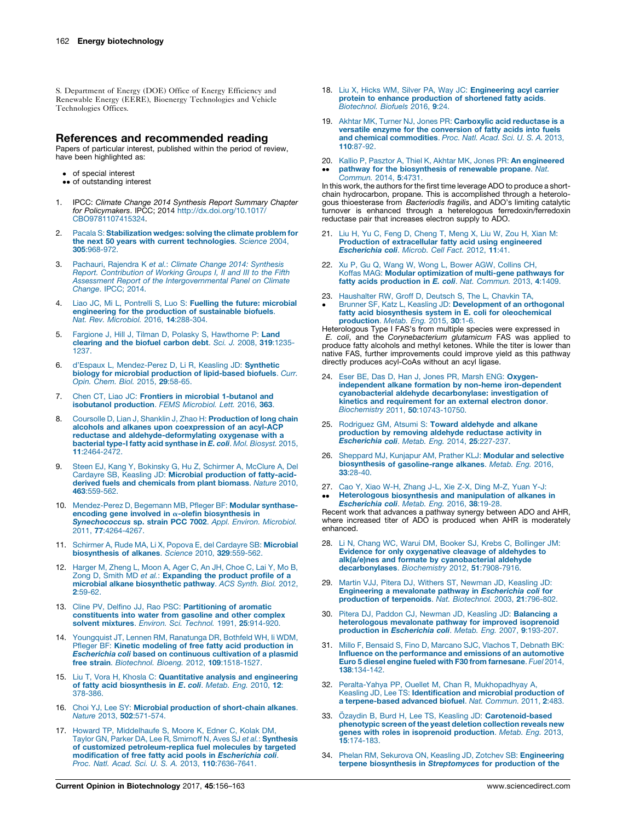<span id="page-7-0"></span>S. Department of Energy (DOE) Office of Energy Efficiency and Renewable Energy (EERE), Bioenergy Technologies and Vehicle Technologies Offices.

### References and recommended reading

Papers of particular interest, published within the period of review, have been highlighted as:

- of special interest
- •• of outstanding interest
- IPCC: Climate Change 2014 Synthesis Report Summary Chapter for Policymakers. IPCC; 2014 [http://dx.doi.org/10.1017/](http://dx.doi.org/10.1017/CBO9781107415324) [CBO9781107415324](http://dx.doi.org/10.1017/CBO9781107415324).
- 2. Pacala S: [Stabilization](http://refhub.elsevier.com/S0958-1669(16)30190-2/sbref0010) wedges: solving the climate problem for the next 50 years with current [technologies](http://refhub.elsevier.com/S0958-1669(16)30190-2/sbref0010). Science 2004, 305[:968-972.](http://refhub.elsevier.com/S0958-1669(16)30190-2/sbref0010)
- 3. Pachauri, Rajendra K et al.: Climate Change 2014: [Synthesis](http://refhub.elsevier.com/S0958-1669(16)30190-2/sbref0015) Report. [Contribution](http://refhub.elsevier.com/S0958-1669(16)30190-2/sbref0015) of Working Groups I, II and III to the Fifth Assessment Report of the [Intergovernmental](http://refhub.elsevier.com/S0958-1669(16)30190-2/sbref0015) Panel on Climate [Change](http://refhub.elsevier.com/S0958-1669(16)30190-2/sbref0015). IPCC; 2014.
- 4. Liao JC, Mi L, Pontrelli S, Luo S: Fuelling the future: [microbial](http://refhub.elsevier.com/S0958-1669(16)30190-2/sbref0020) [engineering](http://refhub.elsevier.com/S0958-1669(16)30190-2/sbref0020) for the production of sustainable biofuels. Nat. Rev. [Microbiol.](http://refhub.elsevier.com/S0958-1669(16)30190-2/sbref0020) 2016, 14:288-304.
- 5. Fargione J, Hill J, Tilman D, Polasky S, [Hawthorne](http://refhub.elsevier.com/S0958-1669(16)30190-2/sbref0025) P: Land [clearing](http://refhub.elsevier.com/S0958-1669(16)30190-2/sbref0025) and the biofuel carbon debt. Sci. J. 2008, 319:1235- [1237.](http://refhub.elsevier.com/S0958-1669(16)30190-2/sbref0025)
- 6. d'Espaux L, [Mendez-Perez](http://refhub.elsevier.com/S0958-1669(16)30190-2/sbref0030) D, Li R, Keasling JD: Synthetic biology for microbial production of [lipid-based](http://refhub.elsevier.com/S0958-1669(16)30190-2/sbref0030) biofuels. Curr. Opin. Chem. Biol. 2015, 29[:58-65.](http://refhub.elsevier.com/S0958-1669(16)30190-2/sbref0030)
- 7. Chen CT, Liao JC: Frontiers in microbial [1-butanol](http://refhub.elsevier.com/S0958-1669(16)30190-2/sbref0035) and isobutanol [production](http://refhub.elsevier.com/S0958-1669(16)30190-2/sbref0035). FEMS Microbiol. Lett. 2016, 363.
- 8. Coursolle D, Lian J, Shanklin J, Zhao H: [Production](http://refhub.elsevier.com/S0958-1669(16)30190-2/sbref0040) of long chain alcohols and alkanes upon [coexpression](http://refhub.elsevier.com/S0958-1669(16)30190-2/sbref0040) of an acyl-ACP reductase and [aldehyde-deformylating](http://refhub.elsevier.com/S0958-1669(16)30190-2/sbref0040) oxygenase with a bacterial type-I fatty acid [synthase](http://refhub.elsevier.com/S0958-1669(16)30190-2/sbref0040) in E. coli. Mol. Biosyst. 2015, 11[:2464-2472.](http://refhub.elsevier.com/S0958-1669(16)30190-2/sbref0040)
- 9. Steen EJ, Kang Y, [Bokinsky](http://refhub.elsevier.com/S0958-1669(16)30190-2/sbref0045) G, Hu Z, Schirmer A, McClure A, Del Cardayre SB, Keasling JD: Microbial [production](http://refhub.elsevier.com/S0958-1669(16)30190-2/sbref0045) of fatty-acidderived fuels and [chemicals](http://refhub.elsevier.com/S0958-1669(16)30190-2/sbref0045) from plant biomass. Nature 2010, 463[:559-562.](http://refhub.elsevier.com/S0958-1669(16)30190-2/sbref0045)
- 10. [Mendez-Perez](http://refhub.elsevier.com/S0958-1669(16)30190-2/sbref0050) D, Begemann MB, Pfleger BF: Modular synthaseencoding gene involved in α-olefin [biosynthesis](http://refhub.elsevier.com/S0958-1669(16)30190-2/sbref0050) in<br>[Synechococcus](http://refhub.elsevier.com/S0958-1669(16)30190-2/sbref0050) sp. strain PCC 7002. Appl. Environ. Microbiol. 2011, 77[:4264-4267.](http://refhub.elsevier.com/S0958-1669(16)30190-2/sbref0050)
- 11. Schirmer A, Rude MA, Li X, Popova E, del Cardayre SB: [Microbial](http://refhub.elsevier.com/S0958-1669(16)30190-2/sbref0055) [biosynthesis](http://refhub.elsevier.com/S0958-1669(16)30190-2/sbref0055) of alkanes. Science 2010, 329:559-562.
- 12. [Harger](http://refhub.elsevier.com/S0958-1669(16)30190-2/sbref0060) M, Zheng L, Moon A, Ager C, An JH, Choe C, Lai Y, Mo B, Zong D, Smith MD et al.: **[Expanding](http://refhub.elsevier.com/S0958-1669(16)30190-2/sbref0060) the product profile of a** microbial alkane [biosynthetic](http://refhub.elsevier.com/S0958-1669(16)30190-2/sbref0060) pathway. ACS Synth. Biol. 2012, 2[:59-62.](http://refhub.elsevier.com/S0958-1669(16)30190-2/sbref0060)
- 13. Cline PV, Delfino JJ, Rao PSC: [Partitioning](http://refhub.elsevier.com/S0958-1669(16)30190-2/sbref0065) of aromatic [constituents](http://refhub.elsevier.com/S0958-1669(16)30190-2/sbref0065) into water from gasoline and other complex solvent mixtures. Environ. Sci. Technol. 1991, 25[:914-920.](http://refhub.elsevier.com/S0958-1669(16)30190-2/sbref0065)
- 14. [Youngquist](http://refhub.elsevier.com/S0958-1669(16)30190-2/sbref0070) JT, Lennen RM, Ranatunga DR, Bothfeld WH, Ii WDM, Pfleger BF: Kinetic modeling of free fatty acid [production](http://refhub.elsevier.com/S0958-1669(16)30190-2/sbref0070) in [Escherichia](http://refhub.elsevier.com/S0958-1669(16)30190-2/sbref0070) coli based on continuous cultivation of a plasmid free strain. Biotechnol. Bioeng. 2012, 109[:1518-1527.](http://refhub.elsevier.com/S0958-1669(16)30190-2/sbref0070)
- 15. Liu T, Vora H, Khosla C: [Quantitative](http://refhub.elsevier.com/S0958-1669(16)30190-2/sbref0075) analysis and engineering of fatty acid [biosynthesis](http://refhub.elsevier.com/S0958-1669(16)30190-2/sbref0075) in E. coli. Metab. Eng. 2010, 12: [378-386.](http://refhub.elsevier.com/S0958-1669(16)30190-2/sbref0075)
- 16. Choi YJ, Lee SY: Microbial production of [short-chain](http://refhub.elsevier.com/S0958-1669(16)30190-2/sbref0080) alkanes. Nature 2013, 502[:571-574.](http://refhub.elsevier.com/S0958-1669(16)30190-2/sbref0080)
- 17. Howard TP, [Middelhaufe](http://refhub.elsevier.com/S0958-1669(16)30190-2/sbref0085) S, Moore K, Edner C, Kolak DM, Taylor GN, Parker DA, Lee R, Smirnoff N, Aves SJ et al.: [Synthesis](http://refhub.elsevier.com/S0958-1669(16)30190-2/sbref0085) of customized [petroleum-replica](http://refhub.elsevier.com/S0958-1669(16)30190-2/sbref0085) fuel molecules by targeted m<mark>odification of free fatty acid pools in *Escherichia coli.*<br>Proc. Natl. Acad. Sci. U. S. A. 2013, 110[:7636-7641.](http://refhub.elsevier.com/S0958-1669(16)30190-2/sbref0085)</mark>
- 18. Liu X, Hicks WM, Silver PA, Way JC: [Engineering](http://refhub.elsevier.com/S0958-1669(16)30190-2/sbref0090) acyl carrier protein to enhance [production](http://refhub.elsevier.com/S0958-1669(16)30190-2/sbref0090) of shortened fatty acids. [Biotechnol.](http://refhub.elsevier.com/S0958-1669(16)30190-2/sbref0090) Biofuels 2016, 9:24.
- 19. Akhtar MK, Turner NJ, Jones PR: [Carboxylic](http://refhub.elsevier.com/S0958-1669(16)30190-2/sbref0095) acid reductase is a versatile enzyme for the [conversion](http://refhub.elsevier.com/S0958-1669(16)30190-2/sbref0095) of fatty acids into fuels and chemical [commodities](http://refhub.elsevier.com/S0958-1669(16)30190-2/sbref0095). Proc. Natl. Acad. Sci. U. S. A. 2013, 110[:87-92.](http://refhub.elsevier.com/S0958-1669(16)30190-2/sbref0095)
- 20. Kallio P, Pasztor A, Thiel K, Akhtar MK, Jones PR: An [engineered](http://refhub.elsevier.com/S0958-1669(16)30190-2/sbref0100)  $\ddot{\phantom{0}}$ pathway for the [biosynthesis](http://refhub.elsevier.com/S0958-1669(16)30190-2/sbref0100) of renewable propane. Nat. [Commun.](http://refhub.elsevier.com/S0958-1669(16)30190-2/sbref0100) 2014, 5:4731.

In this work, the authors for the first time leverage ADO to produce a shortchain hydrocarbon, propane. This is accomplished through a heterologous thioesterase from Bacteriodis fragilis, and ADO's limiting catalytic turnover is enhanced through a heterelogous ferredoxin/ferredoxin reductase pair that increases electron supply to ADO.

- 21. Liu H, Yu C, Feng D, [Cheng](http://refhub.elsevier.com/S0958-1669(16)30190-2/sbref0105) T, Meng X, Liu W, Zou H, Xian M: Production of [extracellular](http://refhub.elsevier.com/S0958-1669(16)30190-2/sbref0105) fatty acid using engineered [Escherichia](http://refhub.elsevier.com/S0958-1669(16)30190-2/sbref0105) coli. Microb. Cell Fact. 2012, 11:41.
- 22. Xu P, Gu Q, Wang W, Wong L, Bower AGW, [Collins](http://refhub.elsevier.com/S0958-1669(16)30190-2/sbref0110) CH, Koffas MAG: Modular [optimization](http://refhub.elsevier.com/S0958-1669(16)30190-2/sbref0110) of multi-gene pathways for fatty acids [production](http://refhub.elsevier.com/S0958-1669(16)30190-2/sbref0110) in E. coli. Nat. Commun. 2013, 4:1409.
- 23. [Haushalter](http://refhub.elsevier.com/S0958-1669(16)30190-2/sbref0115) RW, Groff D, Deutsch S, The L, Chavkin TA,
- $\cdot$ Brunner SF, Katz L, Keasling JD: [Development](http://refhub.elsevier.com/S0958-1669(16)30190-2/sbref0115) of an orthogonal fatty acid biosynthesis system in E. coli for [oleochemical](http://refhub.elsevier.com/S0958-1669(16)30190-2/sbref0115) [production](http://refhub.elsevier.com/S0958-1669(16)30190-2/sbref0115). Metab. Eng. 2015, 30:1-6.

Heterologous Type I FAS's from multiple species were expressed in<br>E. coli, and the Corynebacterium glutamicum FAS was applied to produce fatty alcohols and methyl ketones. While the titer is lower than native FAS, further improvements could improve yield as this pathway directly produces acyl-CoAs without an acyl ligase.

- 24. Eser BE, Das D, Han J, Jones PR, Marsh ENG: [Oxygen](http://refhub.elsevier.com/S0958-1669(16)30190-2/sbref0120)independent alkane formation by non-heme [iron-dependent](http://refhub.elsevier.com/S0958-1669(16)30190-2/sbref0120) cyanobacterial aldehyde [decarbonylase:](http://refhub.elsevier.com/S0958-1669(16)30190-2/sbref0120) investigation of kinetics and [requirement](http://refhub.elsevier.com/S0958-1669(16)30190-2/sbref0120) for an external electron donor. Biochemistry 2011, 50[:10743-10750.](http://refhub.elsevier.com/S0958-1669(16)30190-2/sbref0120)
- 25. [Rodriguez](http://refhub.elsevier.com/S0958-1669(16)30190-2/sbref0125) GM, Atsumi S: Toward aldehyde and alkane [production](http://refhub.elsevier.com/S0958-1669(16)30190-2/sbref0125) by removing aldehyde reductase activity in [Escherichia](http://refhub.elsevier.com/S0958-1669(16)30190-2/sbref0125) coli. Metab. Eng. 2014, 25:227-237.
- 26. [Sheppard](http://refhub.elsevier.com/S0958-1669(16)30190-2/sbref0130) MJ, Kunjapur AM, Prather KLJ: Modular and selective biosynthesis of [gasoline-range](http://refhub.elsevier.com/S0958-1669(16)30190-2/sbref0130) alkanes. Metab. Eng. 2016, 33[:28-40.](http://refhub.elsevier.com/S0958-1669(16)30190-2/sbref0130)
- 27. Cao Y, Xiao W-H, [Zhang](http://refhub.elsevier.com/S0958-1669(16)30190-2/sbref0135) J-L, Xie Z-X, Ding M-Z, Yuan Y-J:  $\ddot{\phantom{0}}$ [Heterologous](http://refhub.elsevier.com/S0958-1669(16)30190-2/sbref0135) biosynthesis and manipulation of alkanes in

[Escherichia](http://refhub.elsevier.com/S0958-1669(16)30190-2/sbref0135) coli. Metab. Eng. 2016, 38:19-28. Recent work that advances a pathway synergy between ADO and AHR, where increased titer of ADO is produced when AHR is moderately enhanced.

- 28. Li N, Chang WC, Warui DM, Booker SJ, Krebs C, [Bollinger](http://refhub.elsevier.com/S0958-1669(16)30190-2/sbref0140) JM: Evidence for only [oxygenative](http://refhub.elsevier.com/S0958-1669(16)30190-2/sbref0140) cleavage of aldehydes to alk(a/e)nes and formate by [cyanobacterial](http://refhub.elsevier.com/S0958-1669(16)30190-2/sbref0140) aldehyde [decarbonylases](http://refhub.elsevier.com/S0958-1669(16)30190-2/sbref0140). Biochemistry 2012, 51:7908-7916.
- 29. Martin VJJ, Pitera DJ, Withers ST, [Newman](http://refhub.elsevier.com/S0958-1669(16)30190-2/sbref0145) JD, Keasling JD: [Engineering](http://refhub.elsevier.com/S0958-1669(16)30190-2/sbref0145) a mevalonate pathway in Escherichia coli for [production](http://refhub.elsevier.com/S0958-1669(16)30190-2/sbref0145) of terpenoids. Nat. Biotechnol. 2003, 21:796-802.
- 30. Pitera DJ, Paddon CJ, Newman JD, Keasling JD: [Balancing](http://refhub.elsevier.com/S0958-1669(16)30190-2/sbref0150) a [heterologous](http://refhub.elsevier.com/S0958-1669(16)30190-2/sbref0150) mevalonate pathway for improved isoprenoid production in [Escherichia](http://refhub.elsevier.com/S0958-1669(16)30190-2/sbref0150) coli. Metab. Eng. 2007, 9:193-207.
- 31. Millo F, Bensaid S, Fino D, [Marcano](http://refhub.elsevier.com/S0958-1669(16)30190-2/sbref0155) SJC, Vlachos T, Debnath BK: Influence on the [performance](http://refhub.elsevier.com/S0958-1669(16)30190-2/sbref0155) and emissions of an automotive Euro 5 diesel engine fueled with F30 from [farnesane](http://refhub.elsevier.com/S0958-1669(16)30190-2/sbref0155). Fuel 2014, 138[:134-142.](http://refhub.elsevier.com/S0958-1669(16)30190-2/sbref0155)
- 32. Peralta-Yahya PP, Ouellet M, Chan R, [Mukhopadhyay](http://refhub.elsevier.com/S0958-1669(16)30190-2/sbref0160) A,<br>Keasling JD, Lee TS: **[Identification](http://refhub.elsevier.com/S0958-1669(16)30190-2/sbref0160) and microbial production of** a [terpene-based](http://refhub.elsevier.com/S0958-1669(16)30190-2/sbref0160) advanced biofuel. Nat. Commun. 2011, 2:483.
- 33. Özaydin B, Burd H, Lee TS, Keasling JD: [Carotenoid-based](http://refhub.elsevier.com/S0958-1669(16)30190-2/sbref0165) [phenotypic](http://refhub.elsevier.com/S0958-1669(16)30190-2/sbref0165) screen of the yeast deletion collection reveals new genes with roles in isoprenoid [production](http://refhub.elsevier.com/S0958-1669(16)30190-2/sbref0165). Metab. Eng. 2013, 15[:174-183.](http://refhub.elsevier.com/S0958-1669(16)30190-2/sbref0165)
- 34. Phelan RM, Sekurova ON, Keasling JD, Zotchev SB: [Engineering](http://refhub.elsevier.com/S0958-1669(16)30190-2/sbref0170) terpene biosynthesis in [Streptomyces](http://refhub.elsevier.com/S0958-1669(16)30190-2/sbref0170) for production of the